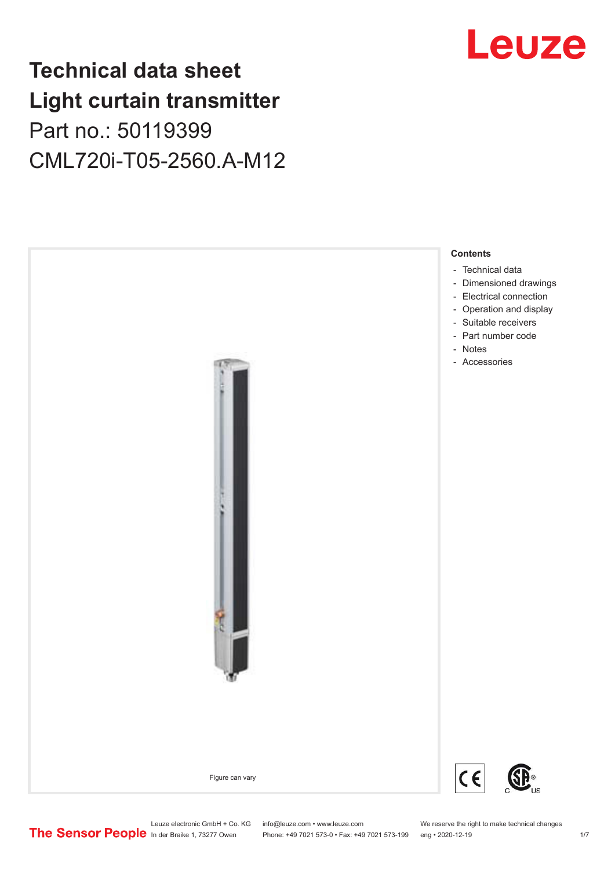## **Technical data sheet Light curtain transmitter** Part no.: 50119399 CML720i-T05-2560.A-M12





Phone: +49 7021 573-0 • Fax: +49 7021 573-199 eng • 2020-12-19

Leuze electronic GmbH + Co. KG info@leuze.com • www.leuze.com We reserve the right to make technical changes<br>
The Sensor People in der Braike 1, 73277 Owen Phone: +49 7021 573-0 • Fax: +49 7021 573-199 eng • 2020-12-19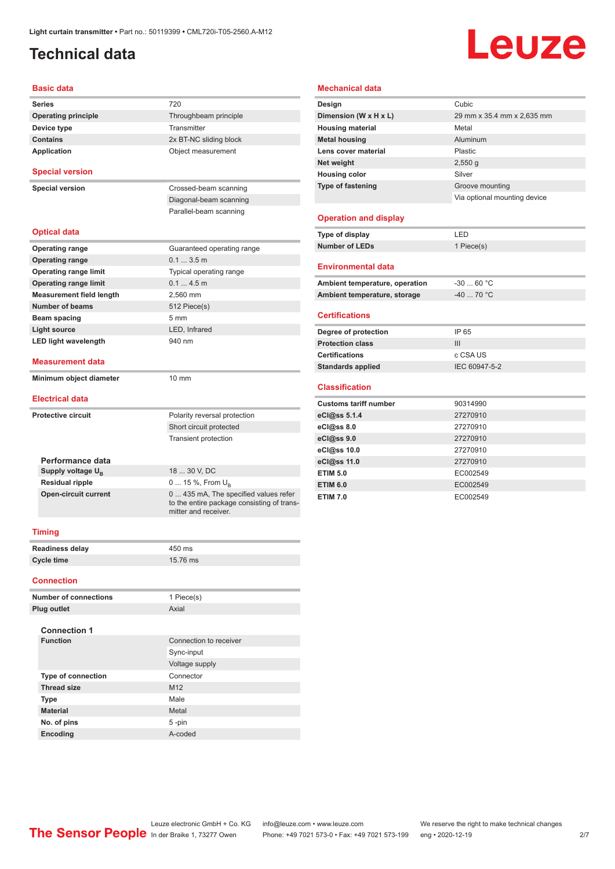## <span id="page-1-0"></span>**Technical data**

## Leuze

#### **Basic data**

| <b>Series</b>                   | 720                                                                                                         |  |
|---------------------------------|-------------------------------------------------------------------------------------------------------------|--|
| <b>Operating principle</b>      | Throughbeam principle                                                                                       |  |
| Device type                     | Transmitter                                                                                                 |  |
| <b>Contains</b>                 | 2x BT-NC sliding block                                                                                      |  |
| Application                     | Object measurement                                                                                          |  |
|                                 |                                                                                                             |  |
| <b>Special version</b>          |                                                                                                             |  |
| <b>Special version</b>          | Crossed-beam scanning                                                                                       |  |
|                                 | Diagonal-beam scanning                                                                                      |  |
|                                 | Parallel-beam scanning                                                                                      |  |
|                                 |                                                                                                             |  |
| <b>Optical data</b>             |                                                                                                             |  |
| <b>Operating range</b>          | Guaranteed operating range                                                                                  |  |
| <b>Operating range</b>          | 0.13.5m                                                                                                     |  |
| <b>Operating range limit</b>    | Typical operating range                                                                                     |  |
| <b>Operating range limit</b>    | 0.14.5m                                                                                                     |  |
| <b>Measurement field length</b> | 2,560 mm                                                                                                    |  |
| <b>Number of beams</b>          | 512 Piece(s)                                                                                                |  |
| Beam spacing                    | 5 <sub>mm</sub>                                                                                             |  |
| <b>Light source</b>             | LED, Infrared                                                                                               |  |
| <b>LED light wavelength</b>     | 940 nm                                                                                                      |  |
| <b>Measurement data</b>         |                                                                                                             |  |
| Minimum object diameter         | $10 \text{ mm}$                                                                                             |  |
|                                 |                                                                                                             |  |
| Electrical data                 |                                                                                                             |  |
| <b>Protective circuit</b>       | Polarity reversal protection                                                                                |  |
|                                 | Short circuit protected                                                                                     |  |
|                                 | <b>Transient protection</b>                                                                                 |  |
|                                 |                                                                                                             |  |
| Performance data                |                                                                                                             |  |
| Supply voltage U <sub>B</sub>   | 18  30 V, DC                                                                                                |  |
| <b>Residual ripple</b>          | 0  15 %, From $U_{\rm B}$                                                                                   |  |
| <b>Open-circuit current</b>     | 0  435 mA, The specified values refer<br>to the entire package consisting of trans-<br>mitter and receiver. |  |
| Timina                          |                                                                                                             |  |
|                                 |                                                                                                             |  |

#### **Housing color** Silver **Type of fastening** Groove mounting Via optional mounting device **Operation and display Type of display** LED **Number of LEDs** 1 Piece(s) **Environmental data** Ambient temperature, operation -30 ... 60 °C Ambient temperature, storage  $-40$  ... 70 °C **Certifications Degree of protection** IP 65 **Protection class** III **Certifications** c CSA US **Standards applied** IEC 60947-5-2 **Classification Customs tariff number** 90314990 **eCl@ss 5.1.4** 27270910 **eCl@ss 8.0** 27270910 **eCl@ss 9.0** 27270910 **eCl@ss 10.0** 27270910

| 27270910 |
|----------|
| 27270910 |
| 27270910 |
| 27270910 |
| EC002549 |
| EC002549 |
| EC002549 |
|          |

#### **Timing**

| <b>Readiness delay</b> | 450 ms             |
|------------------------|--------------------|
| Cycle time             | $15.76 \text{ ms}$ |

#### **Connection**

| <b>Number of connections</b> | 1 Piece(s)             |
|------------------------------|------------------------|
| Plug outlet                  | Axial                  |
| <b>Connection 1</b>          |                        |
| <b>Function</b>              | Connection to receiver |
|                              | Sync-input             |
|                              | Voltage supply         |
| <b>Type of connection</b>    | Connector              |
| <b>Thread size</b>           | M <sub>12</sub>        |
| <b>Type</b>                  | Male                   |
| <b>Material</b>              | Metal                  |
| No. of pins                  | $5 - pin$              |
| Encoding                     | A-coded                |
|                              |                        |

#### **Mechanical data**

**Design Cubic** 

**Housing material** Metal **Metal housing Aluminum Lens cover material** Plastic **Net weight** 2,550 g

**Dimension (W x H x L)** 29 mm x 35.4 mm x 2,635 mm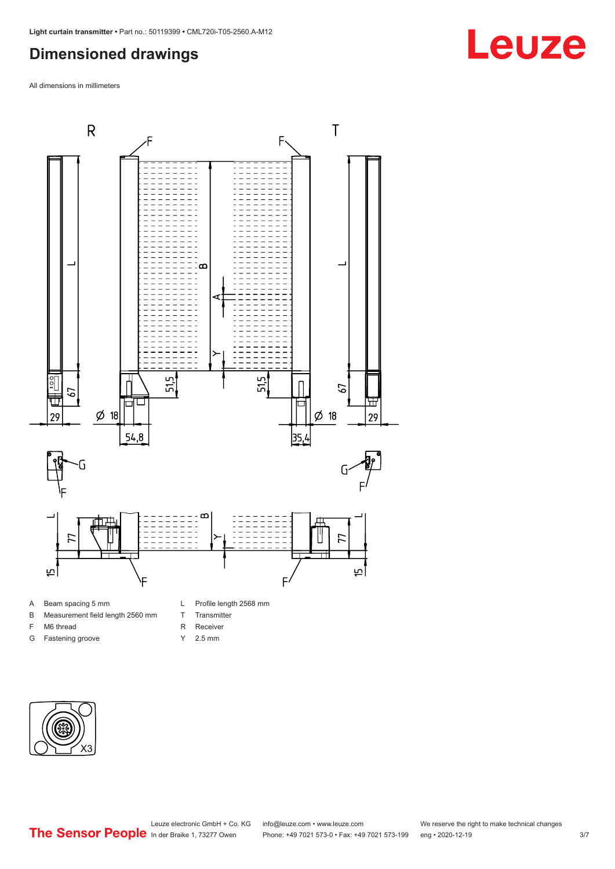### <span id="page-2-0"></span>**Dimensioned drawings**

All dimensions in millimeters



#### A Beam spacing 5 mm

- B Measurement field length 2560 mm
- F M6 thread
- G Fastening groove
- 
- T Transmitter
- R Receiver
- Y 2.5 mm



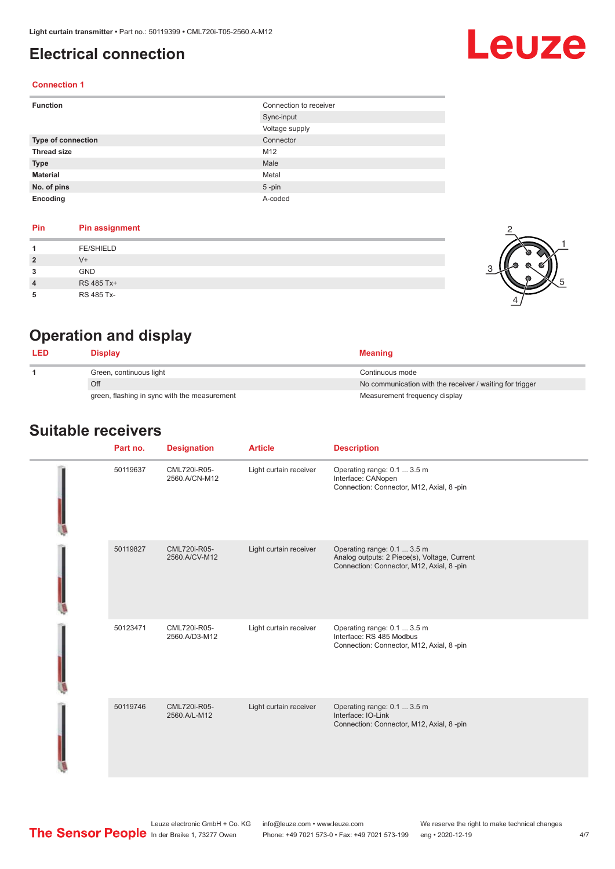### <span id="page-3-0"></span>**Electrical connection**

# Leuze

2

4

1

5

 $\alpha$ 

#### **Connection 1**

| <b>Function</b>    | Connection to receiver |
|--------------------|------------------------|
|                    | Sync-input             |
|                    | Voltage supply         |
| Type of connection | Connector              |
| <b>Thread size</b> | M12                    |
| <b>Type</b>        | Male                   |
| <b>Material</b>    | Metal                  |
| No. of pins        | $5 - pin$              |
| Encoding           | A-coded                |

#### **Pin Pin assignment**

|                | <b>FE/SHIELD</b> |  |
|----------------|------------------|--|
| $\overline{2}$ | $V +$            |  |
| 3              | <b>GND</b>       |  |
| $\overline{4}$ | RS 485 Tx+       |  |
| 5              | RS 485 Tx-       |  |

## **Operation and display**

| <b>LED</b> | Display                                      | <b>Meaning</b>                                           |
|------------|----------------------------------------------|----------------------------------------------------------|
|            | Green, continuous light                      | Continuous mode                                          |
|            | Off                                          | No communication with the receiver / waiting for trigger |
|            | green, flashing in sync with the measurement | Measurement frequency display                            |

#### **Suitable receivers**

| Part no. | <b>Designation</b>            | <b>Article</b>         | <b>Description</b>                                                                                                       |
|----------|-------------------------------|------------------------|--------------------------------------------------------------------------------------------------------------------------|
| 50119637 | CML720i-R05-<br>2560.A/CN-M12 | Light curtain receiver | Operating range: 0.1  3.5 m<br>Interface: CANopen<br>Connection: Connector, M12, Axial, 8 -pin                           |
| 50119827 | CML720i-R05-<br>2560.A/CV-M12 | Light curtain receiver | Operating range: 0.1  3.5 m<br>Analog outputs: 2 Piece(s), Voltage, Current<br>Connection: Connector, M12, Axial, 8 -pin |
| 50123471 | CML720i-R05-<br>2560.A/D3-M12 | Light curtain receiver | Operating range: 0.1  3.5 m<br>Interface: RS 485 Modbus<br>Connection: Connector, M12, Axial, 8 -pin                     |
| 50119746 | CML720i-R05-<br>2560.A/L-M12  | Light curtain receiver | Operating range: 0.1  3.5 m<br>Interface: IO-Link<br>Connection: Connector, M12, Axial, 8 -pin                           |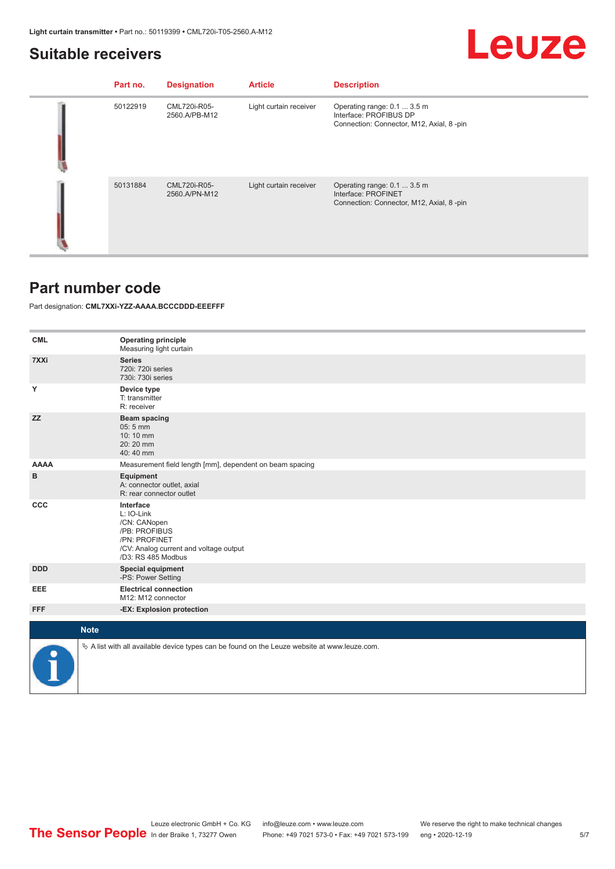#### <span id="page-4-0"></span>**Suitable receivers**

## Leuze

| Part no. | <b>Designation</b>            | <b>Article</b>         | <b>Description</b>                                                                                |
|----------|-------------------------------|------------------------|---------------------------------------------------------------------------------------------------|
| 50122919 | CML720i-R05-<br>2560.A/PB-M12 | Light curtain receiver | Operating range: 0.1  3.5 m<br>Interface: PROFIBUS DP<br>Connection: Connector, M12, Axial, 8-pin |
| 50131884 | CML720i-R05-<br>2560.A/PN-M12 | Light curtain receiver | Operating range: 0.1  3.5 m<br>Interface: PROFINET<br>Connection: Connector, M12, Axial, 8-pin    |

#### **Part number code**

Part designation: **CML7XXi-YZZ-AAAA.BCCCDDD-EEEFFF**

| <b>CML</b>  | <b>Operating principle</b><br>Measuring light curtain                                                                                     |
|-------------|-------------------------------------------------------------------------------------------------------------------------------------------|
| 7XXi        | <b>Series</b><br>720i: 720i series<br>730i: 730i series                                                                                   |
| Y           | Device type<br>T: transmitter<br>R: receiver                                                                                              |
| <b>ZZ</b>   | <b>Beam spacing</b><br>05:5 mm<br>10:10 mm<br>20:20 mm<br>40:40 mm                                                                        |
| <b>AAAA</b> | Measurement field length [mm], dependent on beam spacing                                                                                  |
| в           | Equipment<br>A: connector outlet, axial<br>R: rear connector outlet                                                                       |
| CCC         | Interface<br>L: IO-Link<br>/CN: CANopen<br>/PB: PROFIBUS<br>/PN: PROFINET<br>/CV: Analog current and voltage output<br>/D3: RS 485 Modbus |
| <b>DDD</b>  | <b>Special equipment</b><br>-PS: Power Setting                                                                                            |
| EEE         | <b>Electrical connection</b><br>M12: M12 connector                                                                                        |
| <b>FFF</b>  | -EX: Explosion protection                                                                                                                 |
|             |                                                                                                                                           |
|             | <b>Note</b>                                                                                                                               |
|             | $\&$ A list with all available device types can be found on the Leuze website at www.leuze.com.                                           |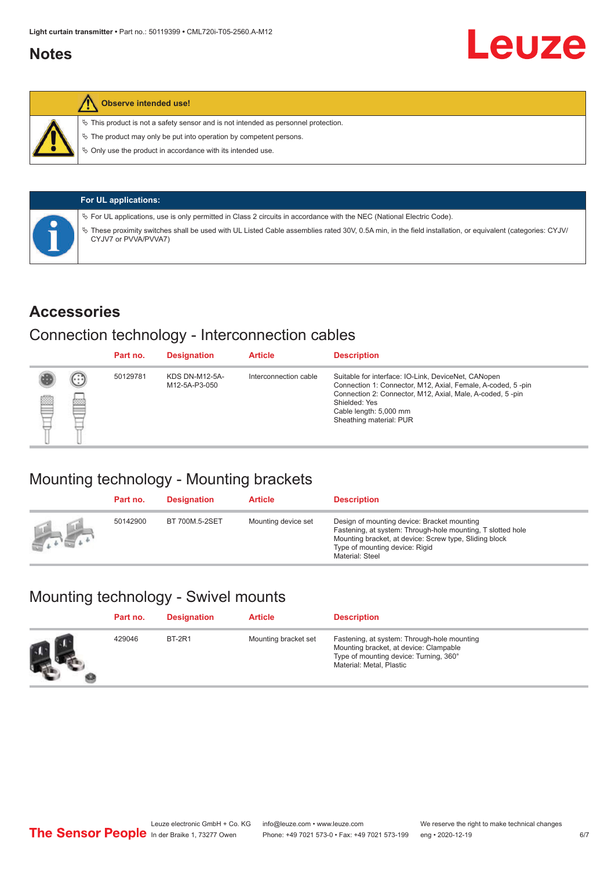#### <span id="page-5-0"></span>**Notes**



#### **Observe intended use!**

 $\%$  This product is not a safety sensor and is not intended as personnel protection.

 $\%$  The product may only be put into operation by competent persons.

 $\%$  Only use the product in accordance with its intended use.

| <b>For UL applications:</b>                                                                                                                                                     |
|---------------------------------------------------------------------------------------------------------------------------------------------------------------------------------|
| $\%$ For UL applications, use is only permitted in Class 2 circuits in accordance with the NEC (National Electric Code).                                                        |
| These proximity switches shall be used with UL Listed Cable assemblies rated 30V, 0.5A min, in the field installation, or equivalent (categories: CYJV/<br>CYJV7 or PVVA/PVVA7) |

#### **Accessories**

### Connection technology - Interconnection cables

|   |        | Part no. | <b>Designation</b>                     | <b>Article</b>        | <b>Description</b>                                                                                                                                                                                                                                    |
|---|--------|----------|----------------------------------------|-----------------------|-------------------------------------------------------------------------------------------------------------------------------------------------------------------------------------------------------------------------------------------------------|
| Ø | ⊙<br>œ | 50129781 | <b>KDS DN-M12-5A-</b><br>M12-5A-P3-050 | Interconnection cable | Suitable for interface: IO-Link, DeviceNet, CANopen<br>Connection 1: Connector, M12, Axial, Female, A-coded, 5-pin<br>Connection 2: Connector, M12, Axial, Male, A-coded, 5-pin<br>Shielded: Yes<br>Cable length: 5,000 mm<br>Sheathing material: PUR |

## Mounting technology - Mounting brackets

|               | Part no. | <b>Designation</b> | <b>Article</b>      | <b>Description</b>                                                                                                                                                                                                        |
|---------------|----------|--------------------|---------------------|---------------------------------------------------------------------------------------------------------------------------------------------------------------------------------------------------------------------------|
| <b>Altres</b> | 50142900 | BT 700M.5-2SET     | Mounting device set | Design of mounting device: Bracket mounting<br>Fastening, at system: Through-hole mounting, T slotted hole<br>Mounting bracket, at device: Screw type, Sliding block<br>Type of mounting device: Rigid<br>Material: Steel |

## Mounting technology - Swivel mounts

| Part no. | <b>Designation</b> | <b>Article</b>       | <b>Description</b>                                                                                                                                          |
|----------|--------------------|----------------------|-------------------------------------------------------------------------------------------------------------------------------------------------------------|
| 429046   | <b>BT-2R1</b>      | Mounting bracket set | Fastening, at system: Through-hole mounting<br>Mounting bracket, at device: Clampable<br>Type of mounting device: Turning, 360°<br>Material: Metal, Plastic |

Leuze